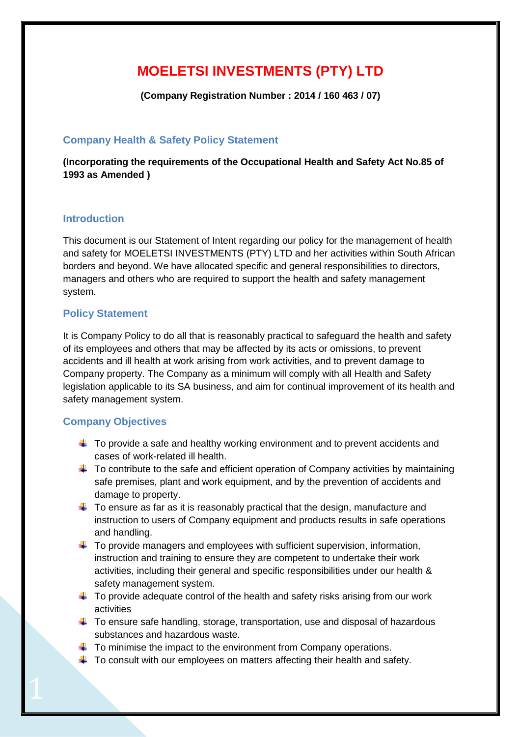# **MOELETSI INVESTMENTS (PTY) LTD**

**(Company Registration Number : 2014 / 160 463 / 07)**

## **Company Health & Safety Policy Statement**

**(Incorporating the requirements of the Occupational Health and Safety Act No.85 of 1993 as Amended )**

### **Introduction**

This document is our Statement of Intent regarding our policy for the management of health and safety for MOELETSI INVESTMENTS (PTY) LTD and her activities within South African borders and beyond. We have allocated specific and general responsibilities to directors, managers and others who are required to support the health and safety management system.

## **Policy Statement**

It is Company Policy to do all that is reasonably practical to safeguard the health and safety of its employees and others that may be affected by its acts or omissions, to prevent accidents and ill health at work arising from work activities, and to prevent damage to Company property. The Company as a minimum will comply with all Health and Safety legislation applicable to its SA business, and aim for continual improvement of its health and safety management system.

# **Company Objectives**

- $\ddot{\phantom{1}}$  To provide a safe and healthy working environment and to prevent accidents and cases of work-related ill health.
- $\ddot{\phantom{1}}$  To contribute to the safe and efficient operation of Company activities by maintaining safe premises, plant and work equipment, and by the prevention of accidents and damage to property.
- $\ddot{\phantom{1}}$  To ensure as far as it is reasonably practical that the design, manufacture and instruction to users of Company equipment and products results in safe operations and handling.
- $\ddot{\phantom{1}}$  To provide managers and employees with sufficient supervision, information, instruction and training to ensure they are competent to undertake their work activities, including their general and specific responsibilities under our health & safety management system.
- $\ddot{\phantom{1}}$  To provide adequate control of the health and safety risks arising from our work activities
- ↓ To ensure safe handling, storage, transportation, use and disposal of hazardous substances and hazardous waste.
- $\ddot{\phantom{1}}$  To minimise the impact to the environment from Company operations.
- $\ddot{\phantom{1}}$  To consult with our employees on matters affecting their health and safety.